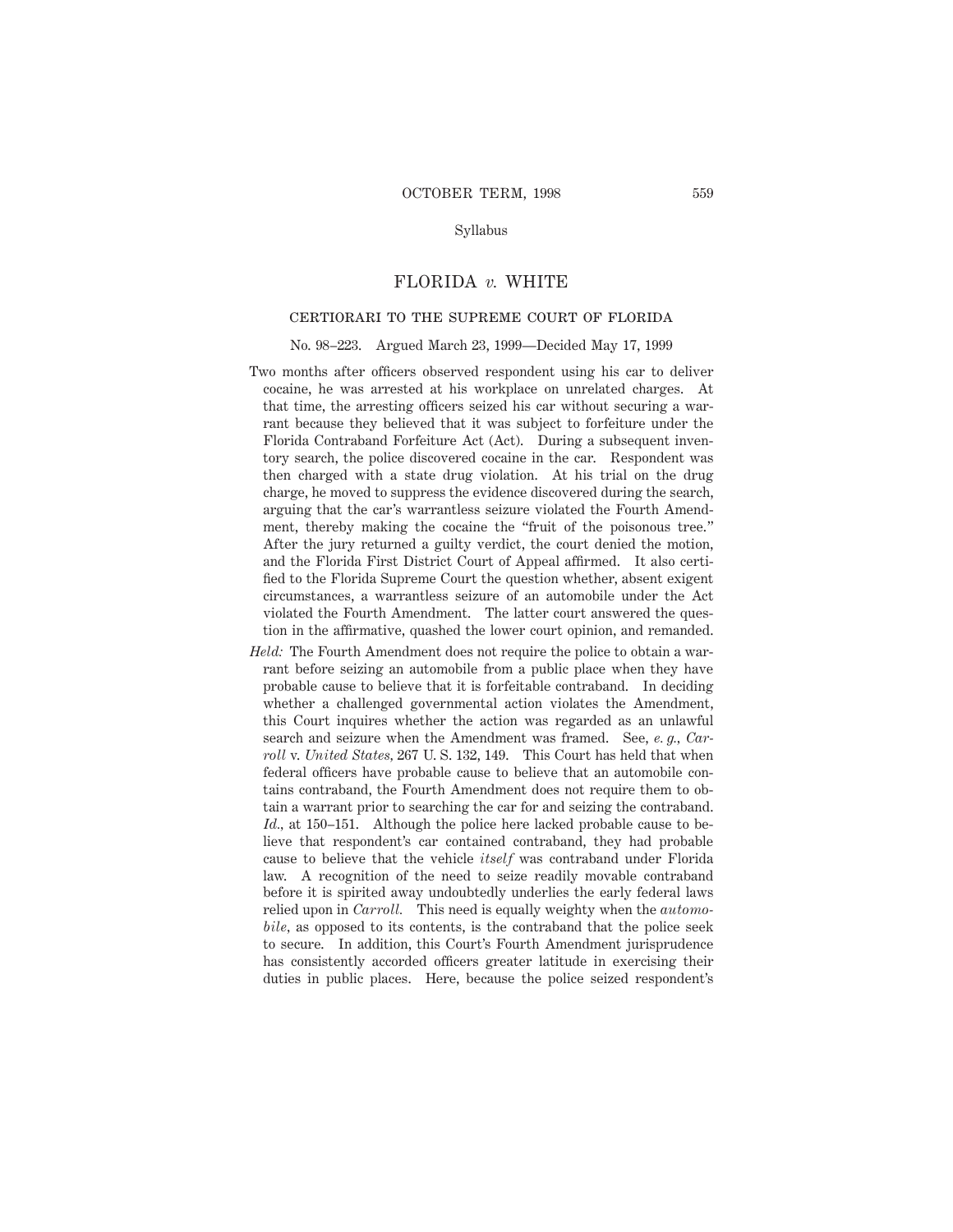### Syllabus

# FLORIDA *v.* WHITE

# certiorari to the supreme court of florida

No. 98–223. Argued March 23, 1999—Decided May 17, 1999

- Two months after officers observed respondent using his car to deliver cocaine, he was arrested at his workplace on unrelated charges. At that time, the arresting officers seized his car without securing a warrant because they believed that it was subject to forfeiture under the Florida Contraband Forfeiture Act (Act). During a subsequent inventory search, the police discovered cocaine in the car. Respondent was then charged with a state drug violation. At his trial on the drug charge, he moved to suppress the evidence discovered during the search, arguing that the car's warrantless seizure violated the Fourth Amendment, thereby making the cocaine the "fruit of the poisonous tree." After the jury returned a guilty verdict, the court denied the motion, and the Florida First District Court of Appeal affirmed. It also certified to the Florida Supreme Court the question whether, absent exigent circumstances, a warrantless seizure of an automobile under the Act violated the Fourth Amendment. The latter court answered the question in the affirmative, quashed the lower court opinion, and remanded.
- *Held:* The Fourth Amendment does not require the police to obtain a warrant before seizing an automobile from a public place when they have probable cause to believe that it is forfeitable contraband. In deciding whether a challenged governmental action violates the Amendment, this Court inquires whether the action was regarded as an unlawful search and seizure when the Amendment was framed. See, *e. g., Carroll* v. *United States,* 267 U. S. 132, 149. This Court has held that when federal officers have probable cause to believe that an automobile contains contraband, the Fourth Amendment does not require them to obtain a warrant prior to searching the car for and seizing the contraband. *Id.,* at 150–151. Although the police here lacked probable cause to believe that respondent's car contained contraband, they had probable cause to believe that the vehicle *itself* was contraband under Florida law. A recognition of the need to seize readily movable contraband before it is spirited away undoubtedly underlies the early federal laws relied upon in *Carroll.* This need is equally weighty when the *automobile,* as opposed to its contents, is the contraband that the police seek to secure. In addition, this Court's Fourth Amendment jurisprudence has consistently accorded officers greater latitude in exercising their duties in public places. Here, because the police seized respondent's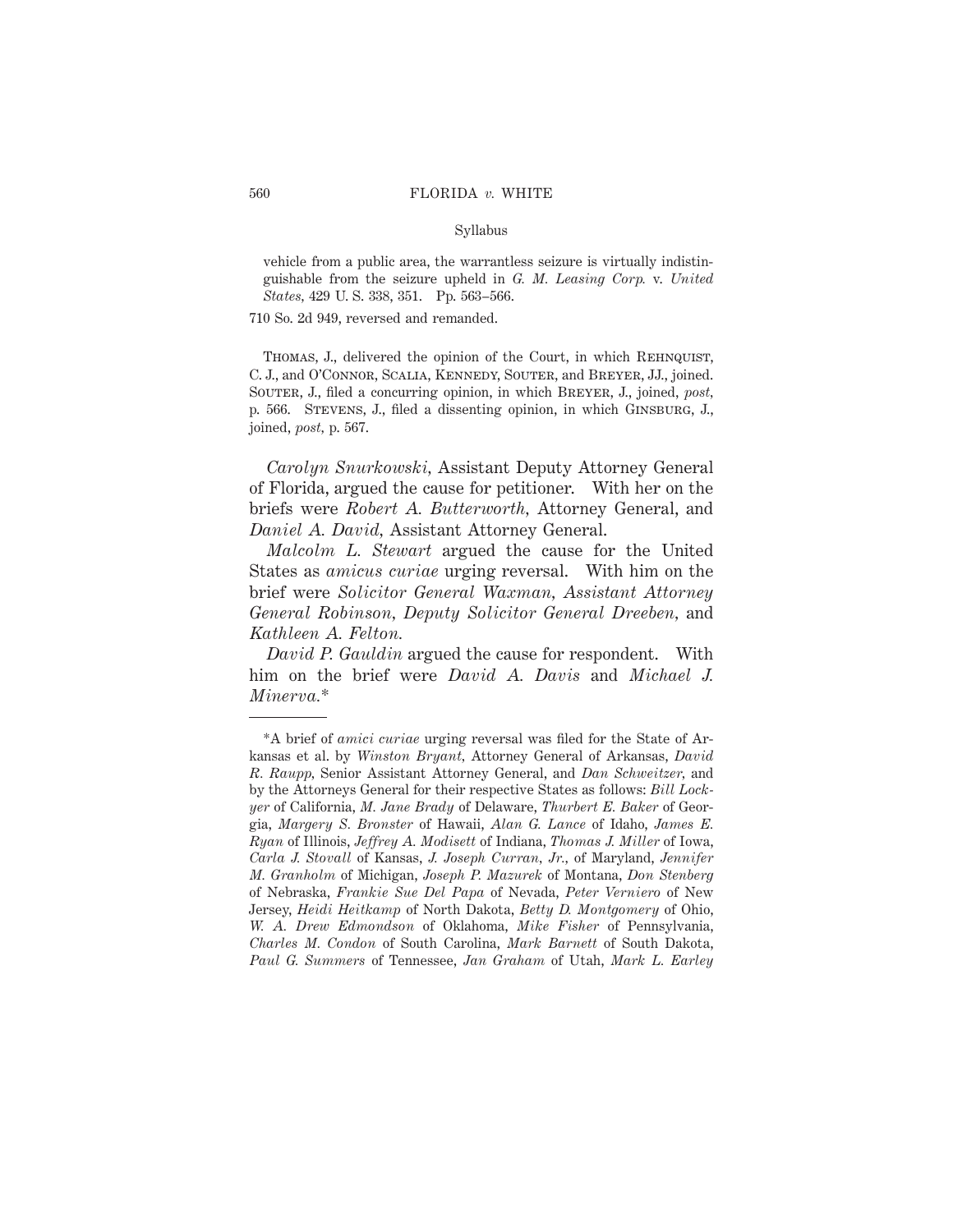#### Syllabus

vehicle from a public area, the warrantless seizure is virtually indistinguishable from the seizure upheld in *G. M. Leasing Corp.* v. *United States,* 429 U. S. 338, 351. Pp. 563–566.

710 So. 2d 949, reversed and remanded.

THOMAS, J., delivered the opinion of the Court, in which REHNQUIST, C. J., and O'Connor, Scalia, Kennedy, Souter, and Breyer, JJ., joined. Souter, J., filed a concurring opinion, in which Breyer, J., joined, *post,* p. 566. Stevens, J., filed a dissenting opinion, in which Ginsburg, J., joined, *post,* p. 567.

*Carolyn Snurkowski,* Assistant Deputy Attorney General of Florida, argued the cause for petitioner. With her on the briefs were *Robert A. Butterworth,* Attorney General, and *Daniel A. David,* Assistant Attorney General.

*Malcolm L. Stewart* argued the cause for the United States as *amicus curiae* urging reversal. With him on the brief were *Solicitor General Waxman, Assistant Attorney General Robinson, Deputy Solicitor General Dreeben,* and *Kathleen A. Felton.*

*David P. Gauldin* argued the cause for respondent. With him on the brief were *David A. Davis* and *Michael J. Minerva.*\*

<sup>\*</sup>A brief of *amici curiae* urging reversal was filed for the State of Arkansas et al. by *Winston Bryant,* Attorney General of Arkansas, *David R. Raupp,* Senior Assistant Attorney General, and *Dan Schweitzer,* and by the Attorneys General for their respective States as follows: *Bill Lockyer* of California, *M. Jane Brady* of Delaware, *Thurbert E. Baker* of Georgia, *Margery S. Bronster* of Hawaii, *Alan G. Lance* of Idaho, *James E. Ryan* of Illinois, *Jeffrey A. Modisett* of Indiana, *Thomas J. Miller* of Iowa, *Carla J. Stovall* of Kansas, *J. Joseph Curran, Jr.,* of Maryland, *Jennifer M. Granholm* of Michigan, *Joseph P. Mazurek* of Montana, *Don Stenberg* of Nebraska, *Frankie Sue Del Papa* of Nevada, *Peter Verniero* of New Jersey, *Heidi Heitkamp* of North Dakota, *Betty D. Montgomery* of Ohio, *W. A. Drew Edmondson* of Oklahoma, *Mike Fisher* of Pennsylvania, *Charles M. Condon* of South Carolina, *Mark Barnett* of South Dakota, *Paul G. Summers* of Tennessee, *Jan Graham* of Utah, *Mark L. Earley*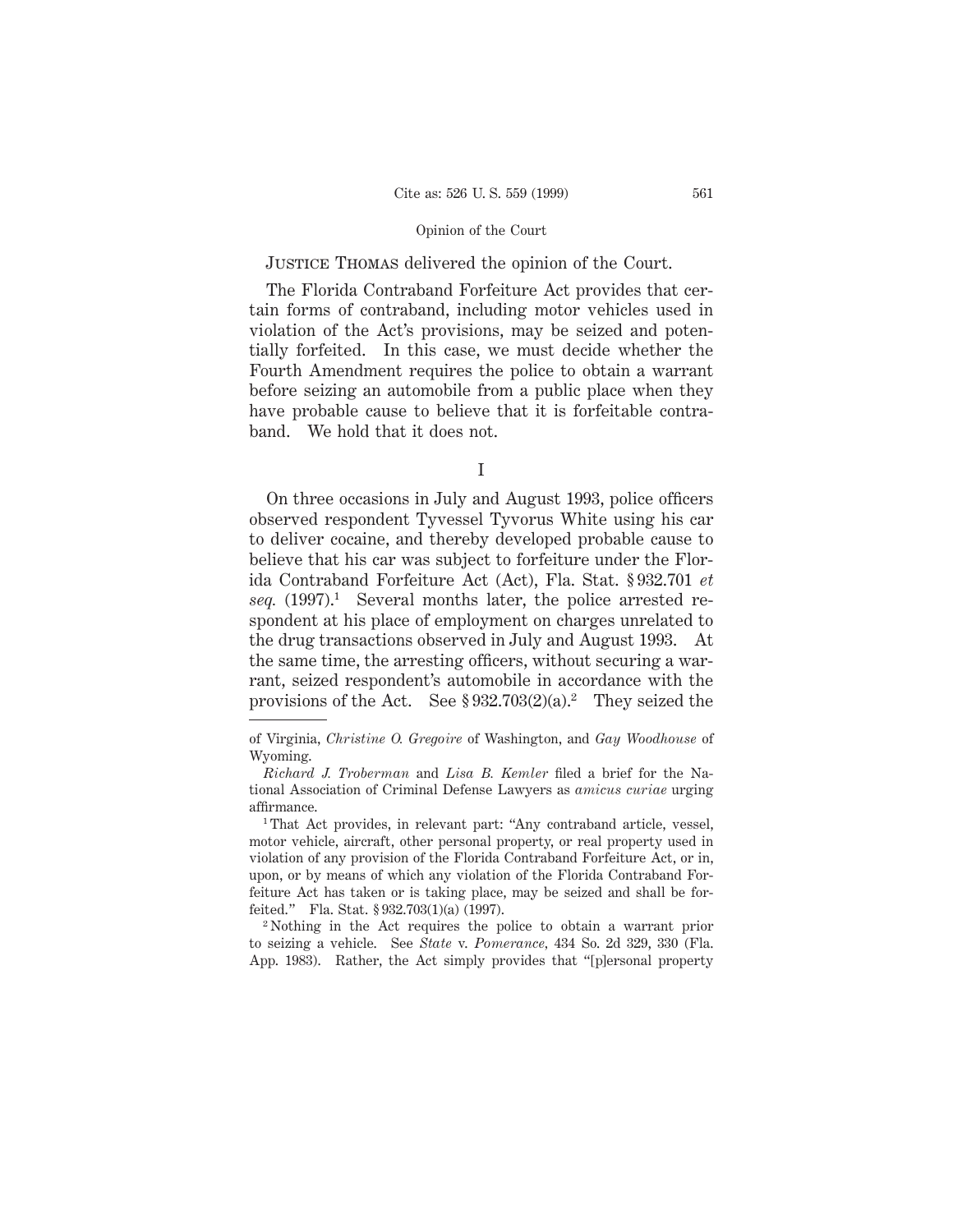# Justice Thomas delivered the opinion of the Court.

The Florida Contraband Forfeiture Act provides that certain forms of contraband, including motor vehicles used in violation of the Act's provisions, may be seized and potentially forfeited. In this case, we must decide whether the Fourth Amendment requires the police to obtain a warrant before seizing an automobile from a public place when they have probable cause to believe that it is forfeitable contraband. We hold that it does not.

On three occasions in July and August 1993, police officers observed respondent Tyvessel Tyvorus White using his car to deliver cocaine, and thereby developed probable cause to believe that his car was subject to forfeiture under the Florida Contraband Forfeiture Act (Act), Fla. Stat. § 932.701 *et seq.* (1997).1 Several months later, the police arrested respondent at his place of employment on charges unrelated to the drug transactions observed in July and August 1993. At the same time, the arresting officers, without securing a warrant, seized respondent's automobile in accordance with the provisions of the Act. See  $$932.703(2)(a).<sup>2</sup>$  They seized the

<sup>2</sup> Nothing in the Act requires the police to obtain a warrant prior to seizing a vehicle. See *State* v. *Pomerance,* 434 So. 2d 329, 330 (Fla. App. 1983). Rather, the Act simply provides that "[p]ersonal property

I

of Virginia, *Christine O. Gregoire* of Washington, and *Gay Woodhouse* of Wyoming.

*Richard J. Troberman* and *Lisa B. Kemler* filed a brief for the National Association of Criminal Defense Lawyers as *amicus curiae* urging affirmance.

<sup>1</sup> That Act provides, in relevant part: "Any contraband article, vessel, motor vehicle, aircraft, other personal property, or real property used in violation of any provision of the Florida Contraband Forfeiture Act, or in, upon, or by means of which any violation of the Florida Contraband Forfeiture Act has taken or is taking place, may be seized and shall be forfeited." Fla. Stat. § 932.703(1)(a) (1997).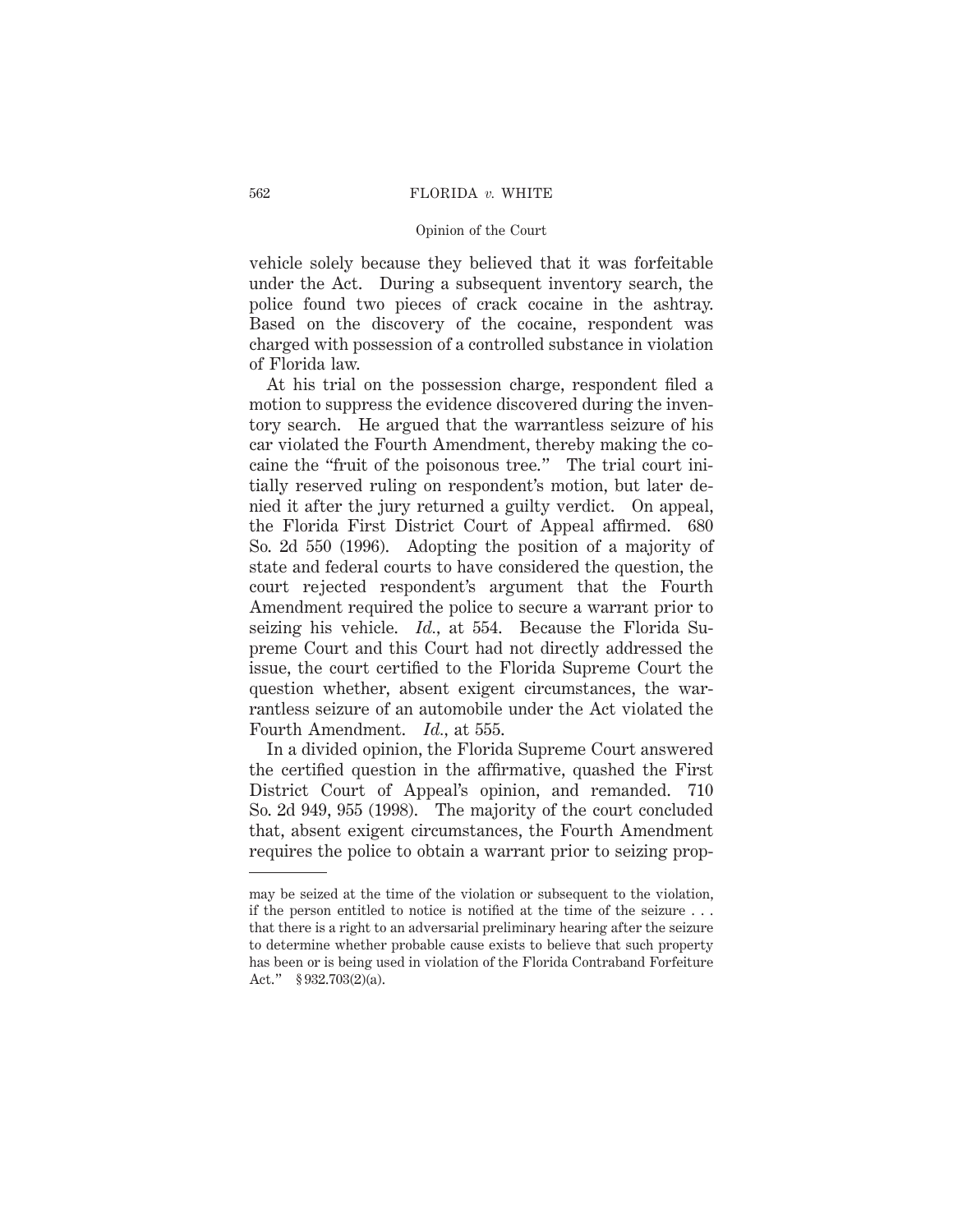vehicle solely because they believed that it was forfeitable under the Act. During a subsequent inventory search, the police found two pieces of crack cocaine in the ashtray. Based on the discovery of the cocaine, respondent was charged with possession of a controlled substance in violation of Florida law.

At his trial on the possession charge, respondent filed a motion to suppress the evidence discovered during the inventory search. He argued that the warrantless seizure of his car violated the Fourth Amendment, thereby making the cocaine the "fruit of the poisonous tree." The trial court initially reserved ruling on respondent's motion, but later denied it after the jury returned a guilty verdict. On appeal, the Florida First District Court of Appeal affirmed. 680 So. 2d 550 (1996). Adopting the position of a majority of state and federal courts to have considered the question, the court rejected respondent's argument that the Fourth Amendment required the police to secure a warrant prior to seizing his vehicle. *Id.,* at 554. Because the Florida Supreme Court and this Court had not directly addressed the issue, the court certified to the Florida Supreme Court the question whether, absent exigent circumstances, the warrantless seizure of an automobile under the Act violated the Fourth Amendment. *Id.,* at 555.

In a divided opinion, the Florida Supreme Court answered the certified question in the affirmative, quashed the First District Court of Appeal's opinion, and remanded. 710 So. 2d 949, 955 (1998). The majority of the court concluded that, absent exigent circumstances, the Fourth Amendment requires the police to obtain a warrant prior to seizing prop-

may be seized at the time of the violation or subsequent to the violation, if the person entitled to notice is notified at the time of the seizure . . . that there is a right to an adversarial preliminary hearing after the seizure to determine whether probable cause exists to believe that such property has been or is being used in violation of the Florida Contraband Forfeiture Act." § 932.703(2)(a).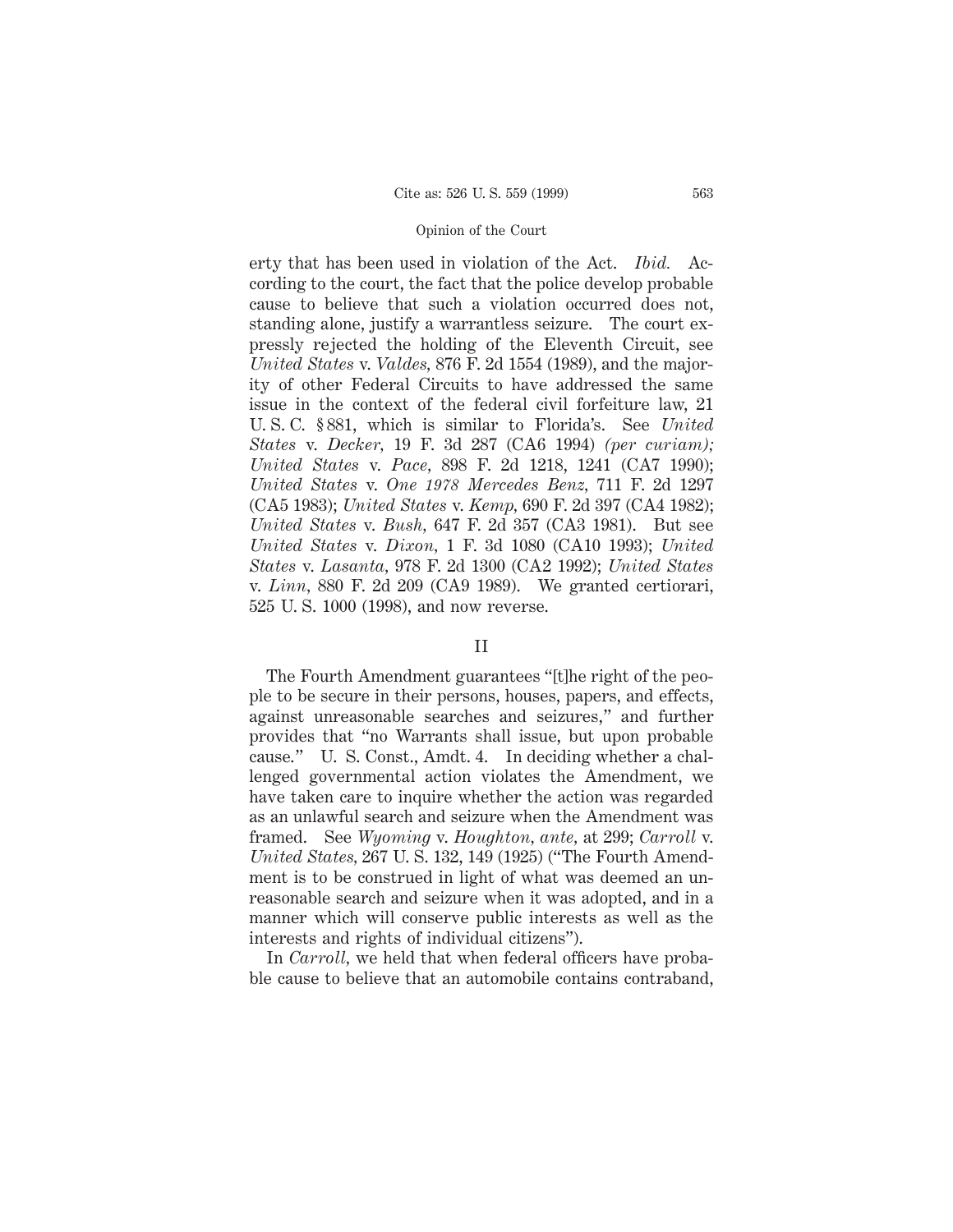erty that has been used in violation of the Act. *Ibid.* According to the court, the fact that the police develop probable cause to believe that such a violation occurred does not, standing alone, justify a warrantless seizure. The court expressly rejected the holding of the Eleventh Circuit, see *United States* v. *Valdes,* 876 F. 2d 1554 (1989), and the majority of other Federal Circuits to have addressed the same issue in the context of the federal civil forfeiture law, 21 U. S. C. § 881, which is similar to Florida's. See *United States* v. *Decker,* 19 F. 3d 287 (CA6 1994) *(per curiam); United States* v. *Pace,* 898 F. 2d 1218, 1241 (CA7 1990); *United States* v. *One 1978 Mercedes Benz,* 711 F. 2d 1297 (CA5 1983); *United States* v. *Kemp,* 690 F. 2d 397 (CA4 1982); *United States* v. *Bush,* 647 F. 2d 357 (CA3 1981). But see *United States* v. *Dixon,* 1 F. 3d 1080 (CA10 1993); *United States* v. *Lasanta,* 978 F. 2d 1300 (CA2 1992); *United States* v. *Linn,* 880 F. 2d 209 (CA9 1989). We granted certiorari, 525 U. S. 1000 (1998), and now reverse.

### II

The Fourth Amendment guarantees "[t]he right of the people to be secure in their persons, houses, papers, and effects, against unreasonable searches and seizures," and further provides that "no Warrants shall issue, but upon probable cause." U. S. Const., Amdt. 4. In deciding whether a challenged governmental action violates the Amendment, we have taken care to inquire whether the action was regarded as an unlawful search and seizure when the Amendment was framed. See *Wyoming* v. *Houghton, ante,* at 299; *Carroll* v. *United States,* 267 U. S. 132, 149 (1925) ("The Fourth Amendment is to be construed in light of what was deemed an unreasonable search and seizure when it was adopted, and in a manner which will conserve public interests as well as the interests and rights of individual citizens").

In *Carroll*, we held that when federal officers have probable cause to believe that an automobile contains contraband,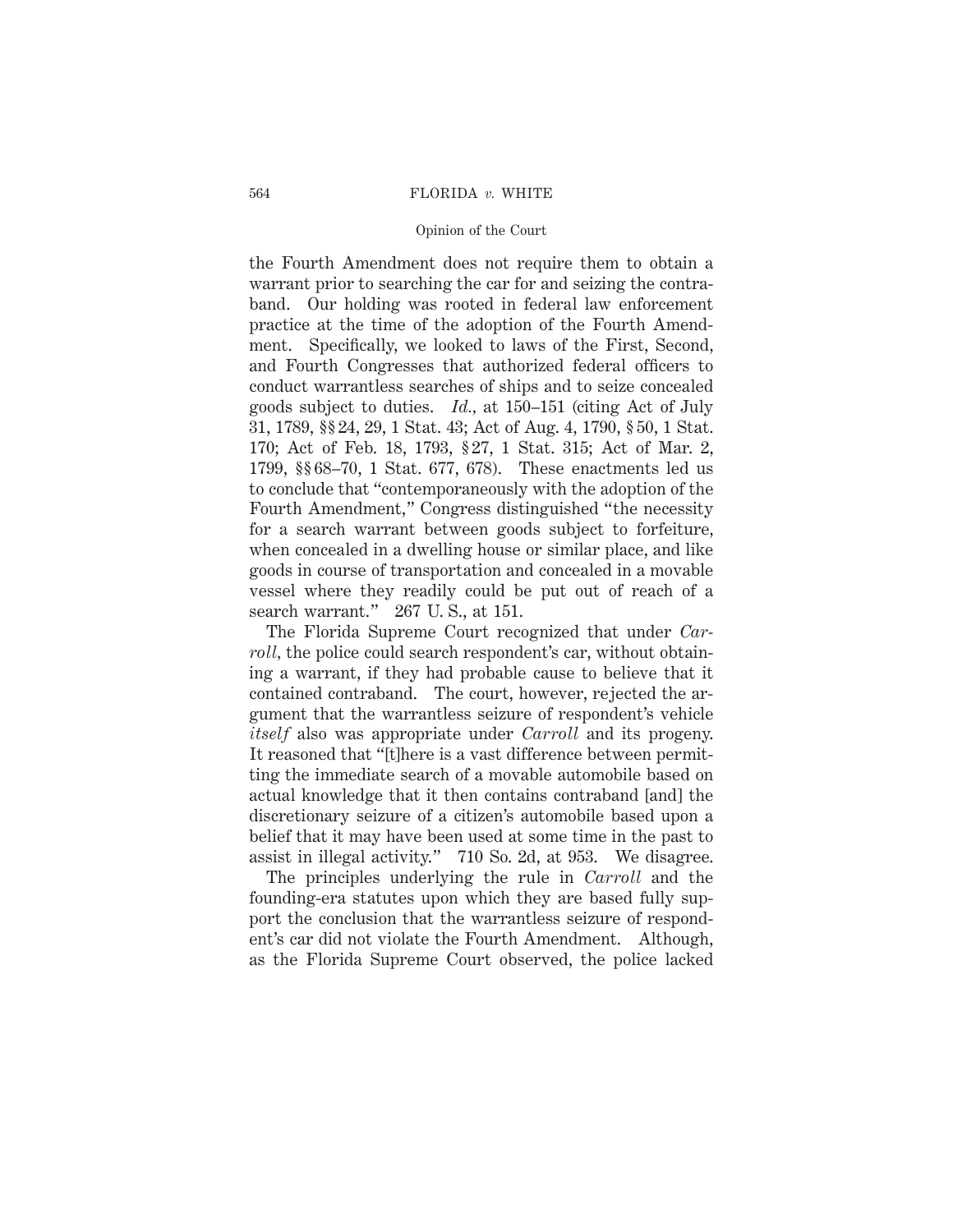#### 564 FLORIDA *v.* WHITE

#### Opinion of the Court

the Fourth Amendment does not require them to obtain a warrant prior to searching the car for and seizing the contraband. Our holding was rooted in federal law enforcement practice at the time of the adoption of the Fourth Amendment. Specifically, we looked to laws of the First, Second, and Fourth Congresses that authorized federal officers to conduct warrantless searches of ships and to seize concealed goods subject to duties. *Id.,* at 150–151 (citing Act of July 31, 1789, §§ 24, 29, 1 Stat. 43; Act of Aug. 4, 1790, § 50, 1 Stat. 170; Act of Feb. 18, 1793, § 27, 1 Stat. 315; Act of Mar. 2, 1799, §§ 68–70, 1 Stat. 677, 678). These enactments led us to conclude that "contemporaneously with the adoption of the Fourth Amendment," Congress distinguished "the necessity for a search warrant between goods subject to forfeiture, when concealed in a dwelling house or similar place, and like goods in course of transportation and concealed in a movable vessel where they readily could be put out of reach of a search warrant." 267 U.S., at 151.

The Florida Supreme Court recognized that under *Carroll*, the police could search respondent's car, without obtaining a warrant, if they had probable cause to believe that it contained contraband. The court, however, rejected the argument that the warrantless seizure of respondent's vehicle *itself* also was appropriate under *Carroll* and its progeny. It reasoned that "[t]here is a vast difference between permitting the immediate search of a movable automobile based on actual knowledge that it then contains contraband [and] the discretionary seizure of a citizen's automobile based upon a belief that it may have been used at some time in the past to assist in illegal activity." 710 So. 2d, at 953. We disagree.

The principles underlying the rule in *Carroll* and the founding-era statutes upon which they are based fully support the conclusion that the warrantless seizure of respondent's car did not violate the Fourth Amendment. Although, as the Florida Supreme Court observed, the police lacked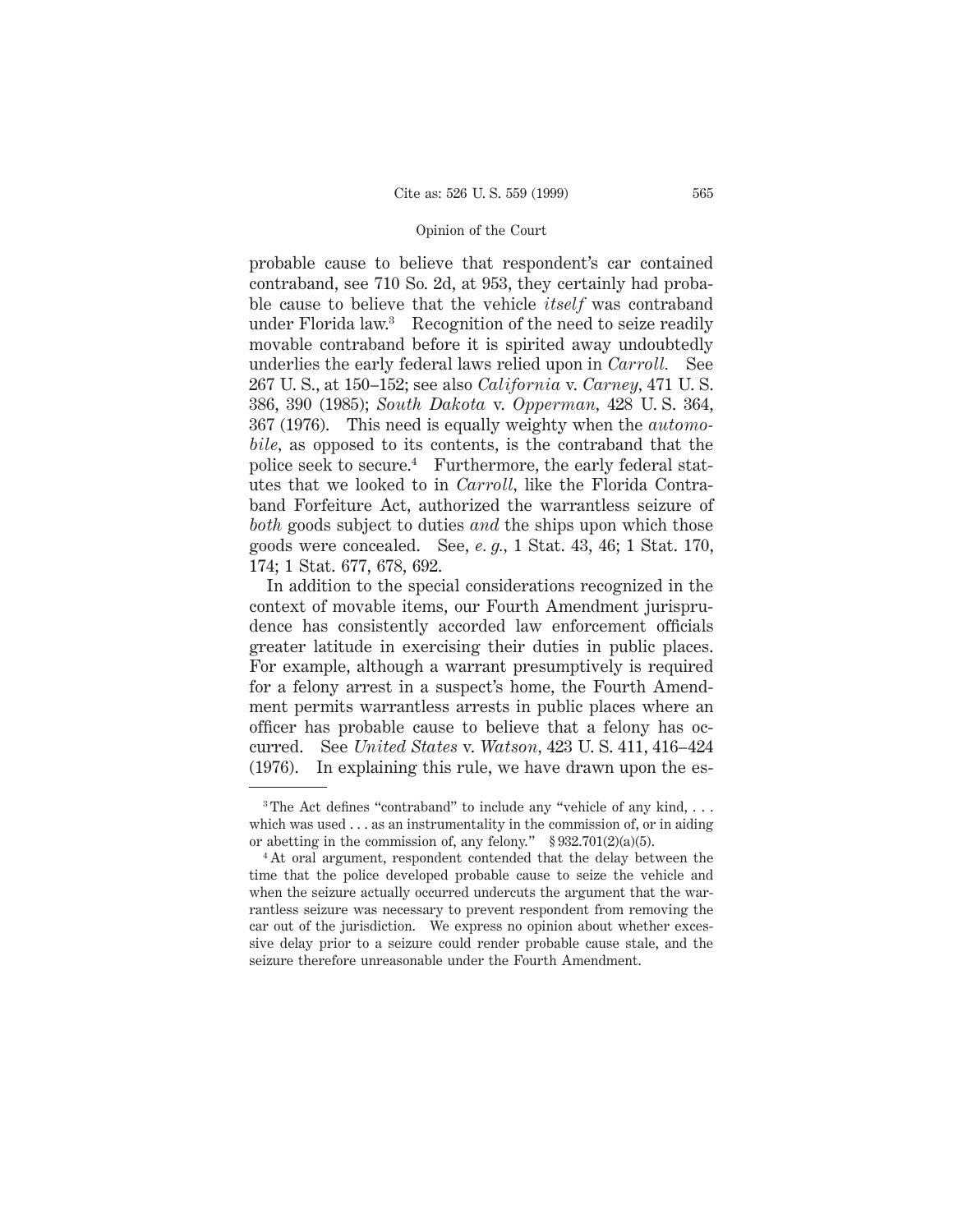probable cause to believe that respondent's car contained contraband, see 710 So. 2d, at 953, they certainly had probable cause to believe that the vehicle *itself* was contraband under Florida law.3 Recognition of the need to seize readily movable contraband before it is spirited away undoubtedly underlies the early federal laws relied upon in *Carroll.* See 267 U. S., at 150–152; see also *California* v. *Carney,* 471 U. S. 386, 390 (1985); *South Dakota* v. *Opperman,* 428 U. S. 364, 367 (1976). This need is equally weighty when the *automobile,* as opposed to its contents, is the contraband that the police seek to secure.4 Furthermore, the early federal statutes that we looked to in *Carroll,* like the Florida Contraband Forfeiture Act, authorized the warrantless seizure of *both* goods subject to duties *and* the ships upon which those goods were concealed. See, *e. g.,* 1 Stat. 43, 46; 1 Stat. 170, 174; 1 Stat. 677, 678, 692.

In addition to the special considerations recognized in the context of movable items, our Fourth Amendment jurisprudence has consistently accorded law enforcement officials greater latitude in exercising their duties in public places. For example, although a warrant presumptively is required for a felony arrest in a suspect's home, the Fourth Amendment permits warrantless arrests in public places where an officer has probable cause to believe that a felony has occurred. See *United States* v. *Watson,* 423 U. S. 411, 416–424 (1976). In explaining this rule, we have drawn upon the es-

<sup>&</sup>lt;sup>3</sup> The Act defines "contraband" to include any "vehicle of any kind,  $\dots$ which was used  $\dots$  as an instrumentality in the commission of, or in aiding or abetting in the commission of, any felony."  $\S 932.701(2)(a)(5)$ .

<sup>4</sup> At oral argument, respondent contended that the delay between the time that the police developed probable cause to seize the vehicle and when the seizure actually occurred undercuts the argument that the warrantless seizure was necessary to prevent respondent from removing the car out of the jurisdiction. We express no opinion about whether excessive delay prior to a seizure could render probable cause stale, and the seizure therefore unreasonable under the Fourth Amendment.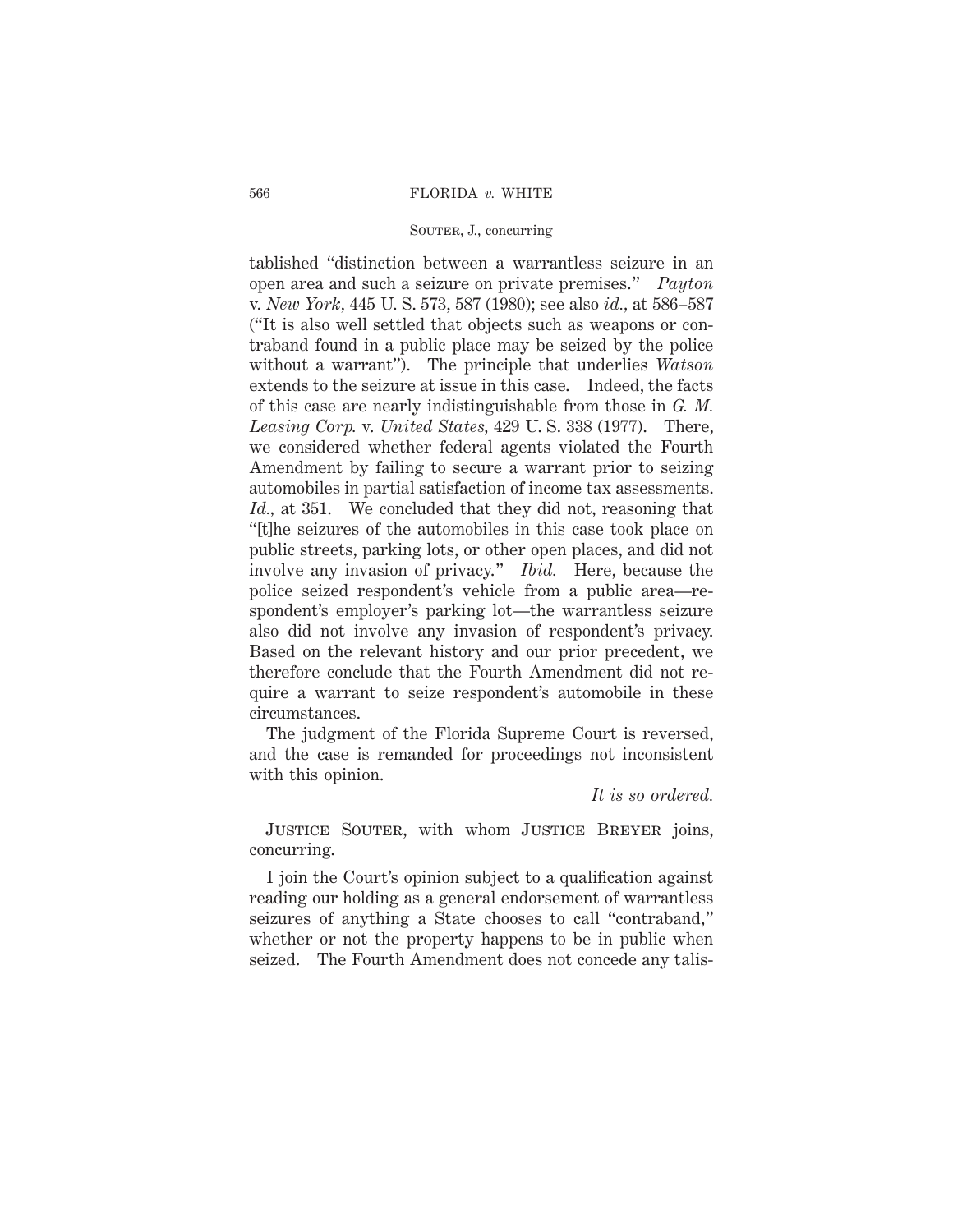#### 566 FLORIDA *v.* WHITE

# SOUTER, J., concurring

tablished "distinction between a warrantless seizure in an open area and such a seizure on private premises." *Payton* v. *New York,* 445 U. S. 573, 587 (1980); see also *id.,* at 586–587 ("It is also well settled that objects such as weapons or contraband found in a public place may be seized by the police without a warrant"). The principle that underlies *Watson* extends to the seizure at issue in this case. Indeed, the facts of this case are nearly indistinguishable from those in *G. M. Leasing Corp.* v. *United States,* 429 U. S. 338 (1977). There, we considered whether federal agents violated the Fourth Amendment by failing to secure a warrant prior to seizing automobiles in partial satisfaction of income tax assessments. *Id.,* at 351. We concluded that they did not, reasoning that "[t]he seizures of the automobiles in this case took place on public streets, parking lots, or other open places, and did not involve any invasion of privacy." *Ibid.* Here, because the police seized respondent's vehicle from a public area—respondent's employer's parking lot—the warrantless seizure also did not involve any invasion of respondent's privacy. Based on the relevant history and our prior precedent, we therefore conclude that the Fourth Amendment did not require a warrant to seize respondent's automobile in these circumstances.

The judgment of the Florida Supreme Court is reversed, and the case is remanded for proceedings not inconsistent with this opinion.

# *It is so ordered.*

JUSTICE SOUTER, with whom JUSTICE BREYER joins, concurring.

I join the Court's opinion subject to a qualification against reading our holding as a general endorsement of warrantless seizures of anything a State chooses to call "contraband," whether or not the property happens to be in public when seized. The Fourth Amendment does not concede any talis-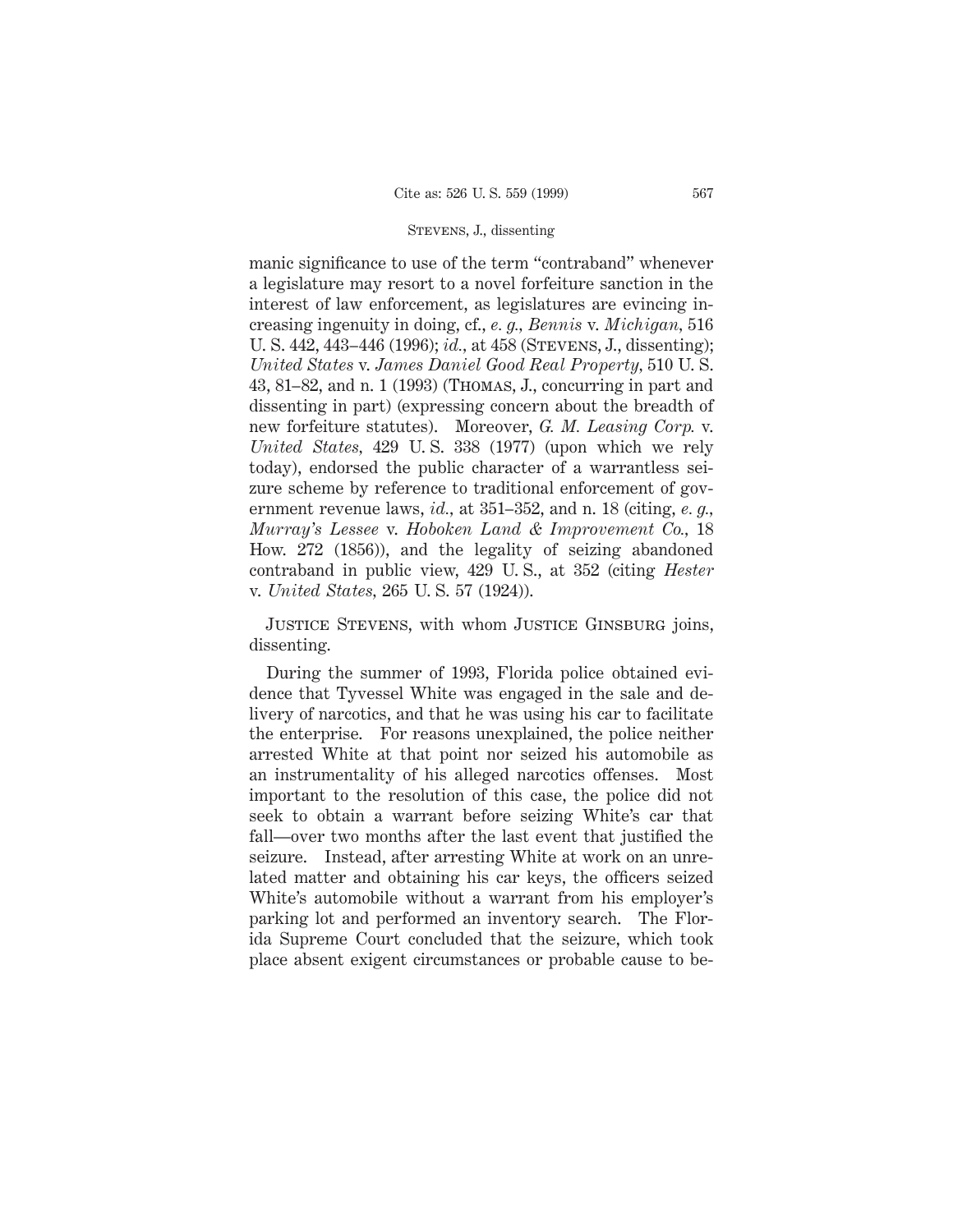manic significance to use of the term "contraband" whenever a legislature may resort to a novel forfeiture sanction in the interest of law enforcement, as legislatures are evincing increasing ingenuity in doing, cf., *e. g., Bennis* v. *Michigan,* 516 U. S. 442, 443–446 (1996); *id.,* at 458 (Stevens, J., dissenting); *United States* v. *James Daniel Good Real Property,* 510 U. S. 43, 81–82, and n. 1 (1993) (Thomas, J., concurring in part and dissenting in part) (expressing concern about the breadth of new forfeiture statutes). Moreover, *G. M. Leasing Corp.* v. *United States,* 429 U. S. 338 (1977) (upon which we rely today), endorsed the public character of a warrantless seizure scheme by reference to traditional enforcement of government revenue laws, *id.,* at 351–352, and n. 18 (citing, *e. g., Murray's Lessee* v. *Hoboken Land & Improvement Co.,* 18 How. 272 (1856)), and the legality of seizing abandoned contraband in public view, 429 U. S., at 352 (citing *Hester* v. *United States,* 265 U. S. 57 (1924)).

Justice Stevens, with whom Justice Ginsburg joins, dissenting.

During the summer of 1993, Florida police obtained evidence that Tyvessel White was engaged in the sale and delivery of narcotics, and that he was using his car to facilitate the enterprise. For reasons unexplained, the police neither arrested White at that point nor seized his automobile as an instrumentality of his alleged narcotics offenses. Most important to the resolution of this case, the police did not seek to obtain a warrant before seizing White's car that fall—over two months after the last event that justified the seizure. Instead, after arresting White at work on an unrelated matter and obtaining his car keys, the officers seized White's automobile without a warrant from his employer's parking lot and performed an inventory search. The Florida Supreme Court concluded that the seizure, which took place absent exigent circumstances or probable cause to be-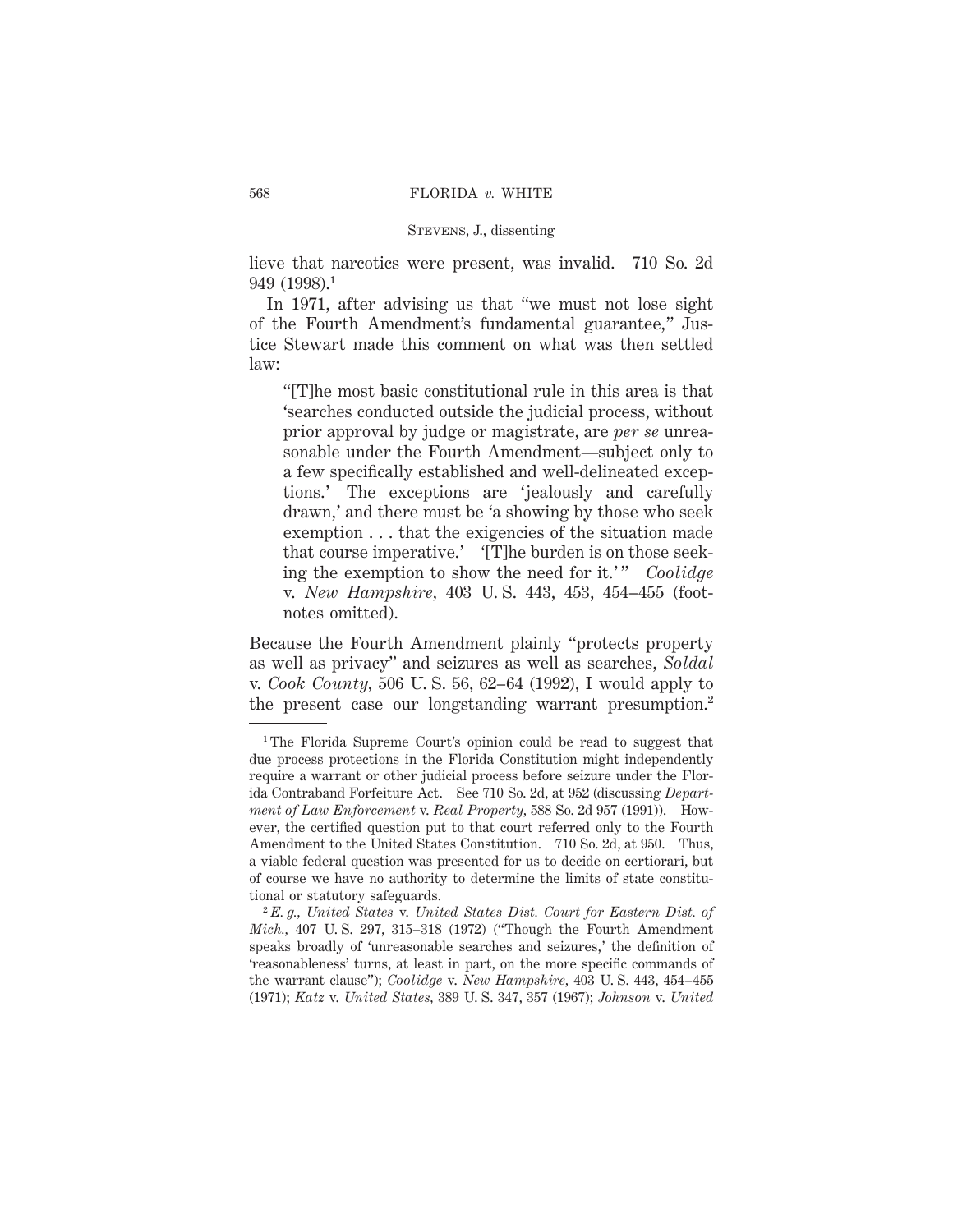# STEVENS, J., dissenting

lieve that narcotics were present, was invalid. 710 So. 2d 949 (1998).1

In 1971, after advising us that "we must not lose sight of the Fourth Amendment's fundamental guarantee," Justice Stewart made this comment on what was then settled law:

"[T]he most basic constitutional rule in this area is that 'searches conducted outside the judicial process, without prior approval by judge or magistrate, are *per se* unreasonable under the Fourth Amendment—subject only to a few specifically established and well-delineated exceptions.' The exceptions are 'jealously and carefully drawn,' and there must be 'a showing by those who seek exemption . . . that the exigencies of the situation made that course imperative.' '[T]he burden is on those seeking the exemption to show the need for it.'" *Coolidge* v. *New Hampshire,* 403 U. S. 443, 453, 454–455 (footnotes omitted).

Because the Fourth Amendment plainly "protects property as well as privacy" and seizures as well as searches, *Soldal* v. *Cook County,* 506 U. S. 56, 62–64 (1992), I would apply to the present case our longstanding warrant presumption.<sup>2</sup>

<sup>1</sup> The Florida Supreme Court's opinion could be read to suggest that due process protections in the Florida Constitution might independently require a warrant or other judicial process before seizure under the Florida Contraband Forfeiture Act. See 710 So. 2d, at 952 (discussing *Department of Law Enforcement* v. *Real Property,* 588 So. 2d 957 (1991)). However, the certified question put to that court referred only to the Fourth Amendment to the United States Constitution. 710 So. 2d, at 950. Thus, a viable federal question was presented for us to decide on certiorari, but of course we have no authority to determine the limits of state constitutional or statutory safeguards.

<sup>2</sup> *E. g., United States* v. *United States Dist. Court for Eastern Dist. of Mich.,* 407 U. S. 297, 315–318 (1972) ("Though the Fourth Amendment speaks broadly of 'unreasonable searches and seizures,' the definition of 'reasonableness' turns, at least in part, on the more specific commands of the warrant clause"); *Coolidge* v. *New Hampshire,* 403 U. S. 443, 454–455 (1971); *Katz* v. *United States,* 389 U. S. 347, 357 (1967); *Johnson* v. *United*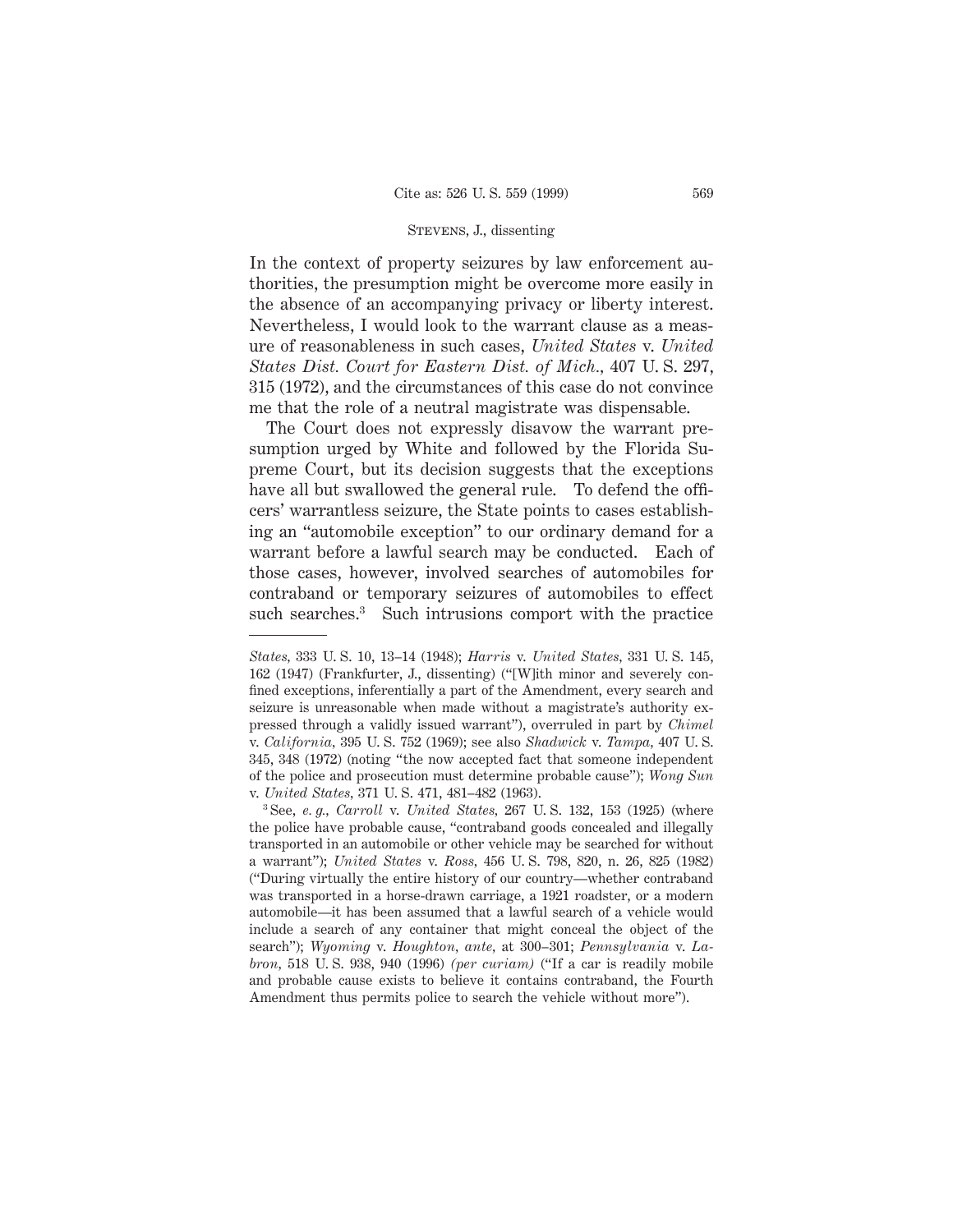In the context of property seizures by law enforcement authorities, the presumption might be overcome more easily in the absence of an accompanying privacy or liberty interest. Nevertheless, I would look to the warrant clause as a measure of reasonableness in such cases, *United States* v. *United States Dist. Court for Eastern Dist. of Mich.,* 407 U. S. 297, 315 (1972), and the circumstances of this case do not convince me that the role of a neutral magistrate was dispensable.

The Court does not expressly disavow the warrant presumption urged by White and followed by the Florida Supreme Court, but its decision suggests that the exceptions have all but swallowed the general rule. To defend the officers' warrantless seizure, the State points to cases establishing an "automobile exception" to our ordinary demand for a warrant before a lawful search may be conducted. Each of those cases, however, involved searches of automobiles for contraband or temporary seizures of automobiles to effect such searches.<sup>3</sup> Such intrusions comport with the practice

*States,* 333 U. S. 10, 13–14 (1948); *Harris* v. *United States,* 331 U. S. 145, 162 (1947) (Frankfurter, J., dissenting) ("[W]ith minor and severely confined exceptions, inferentially a part of the Amendment, every search and seizure is unreasonable when made without a magistrate's authority expressed through a validly issued warrant"), overruled in part by *Chimel* v. *California,* 395 U. S. 752 (1969); see also *Shadwick* v. *Tampa,* 407 U. S. 345, 348 (1972) (noting "the now accepted fact that someone independent of the police and prosecution must determine probable cause"); *Wong Sun* v. *United States,* 371 U. S. 471, 481–482 (1963).

<sup>3</sup> See, *e. g., Carroll* v. *United States,* 267 U. S. 132, 153 (1925) (where the police have probable cause, "contraband goods concealed and illegally transported in an automobile or other vehicle may be searched for without a warrant"); *United States* v. *Ross,* 456 U. S. 798, 820, n. 26, 825 (1982) ("During virtually the entire history of our country—whether contraband was transported in a horse-drawn carriage, a 1921 roadster, or a modern automobile—it has been assumed that a lawful search of a vehicle would include a search of any container that might conceal the object of the search"); *Wyoming* v. *Houghton, ante,* at 300–301; *Pennsylvania* v. *Labron,* 518 U. S. 938, 940 (1996) *(per curiam)* ("If a car is readily mobile and probable cause exists to believe it contains contraband, the Fourth Amendment thus permits police to search the vehicle without more").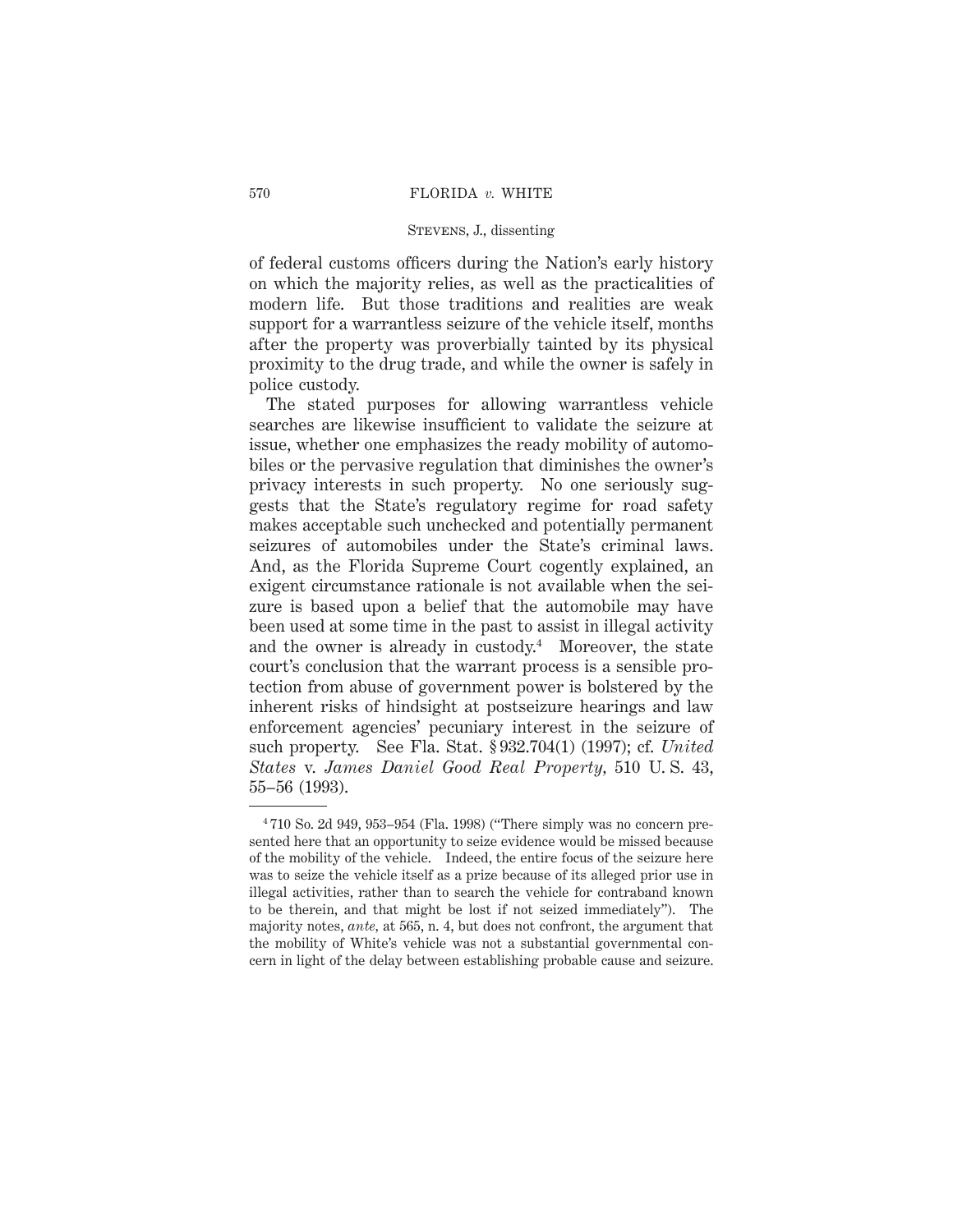# STEVENS, J., dissenting

of federal customs officers during the Nation's early history on which the majority relies, as well as the practicalities of modern life. But those traditions and realities are weak support for a warrantless seizure of the vehicle itself, months after the property was proverbially tainted by its physical proximity to the drug trade, and while the owner is safely in police custody.

The stated purposes for allowing warrantless vehicle searches are likewise insufficient to validate the seizure at issue, whether one emphasizes the ready mobility of automobiles or the pervasive regulation that diminishes the owner's privacy interests in such property. No one seriously suggests that the State's regulatory regime for road safety makes acceptable such unchecked and potentially permanent seizures of automobiles under the State's criminal laws. And, as the Florida Supreme Court cogently explained, an exigent circumstance rationale is not available when the seizure is based upon a belief that the automobile may have been used at some time in the past to assist in illegal activity and the owner is already in custody.<sup>4</sup> Moreover, the state court's conclusion that the warrant process is a sensible protection from abuse of government power is bolstered by the inherent risks of hindsight at postseizure hearings and law enforcement agencies' pecuniary interest in the seizure of such property. See Fla. Stat. § 932.704(1) (1997); cf. *United States* v. *James Daniel Good Real Property,* 510 U. S. 43, 55–56 (1993).

<sup>4</sup> 710 So. 2d 949, 953–954 (Fla. 1998) ("There simply was no concern presented here that an opportunity to seize evidence would be missed because of the mobility of the vehicle. Indeed, the entire focus of the seizure here was to seize the vehicle itself as a prize because of its alleged prior use in illegal activities, rather than to search the vehicle for contraband known to be therein, and that might be lost if not seized immediately"). The majority notes, *ante,* at 565, n. 4, but does not confront, the argument that the mobility of White's vehicle was not a substantial governmental concern in light of the delay between establishing probable cause and seizure.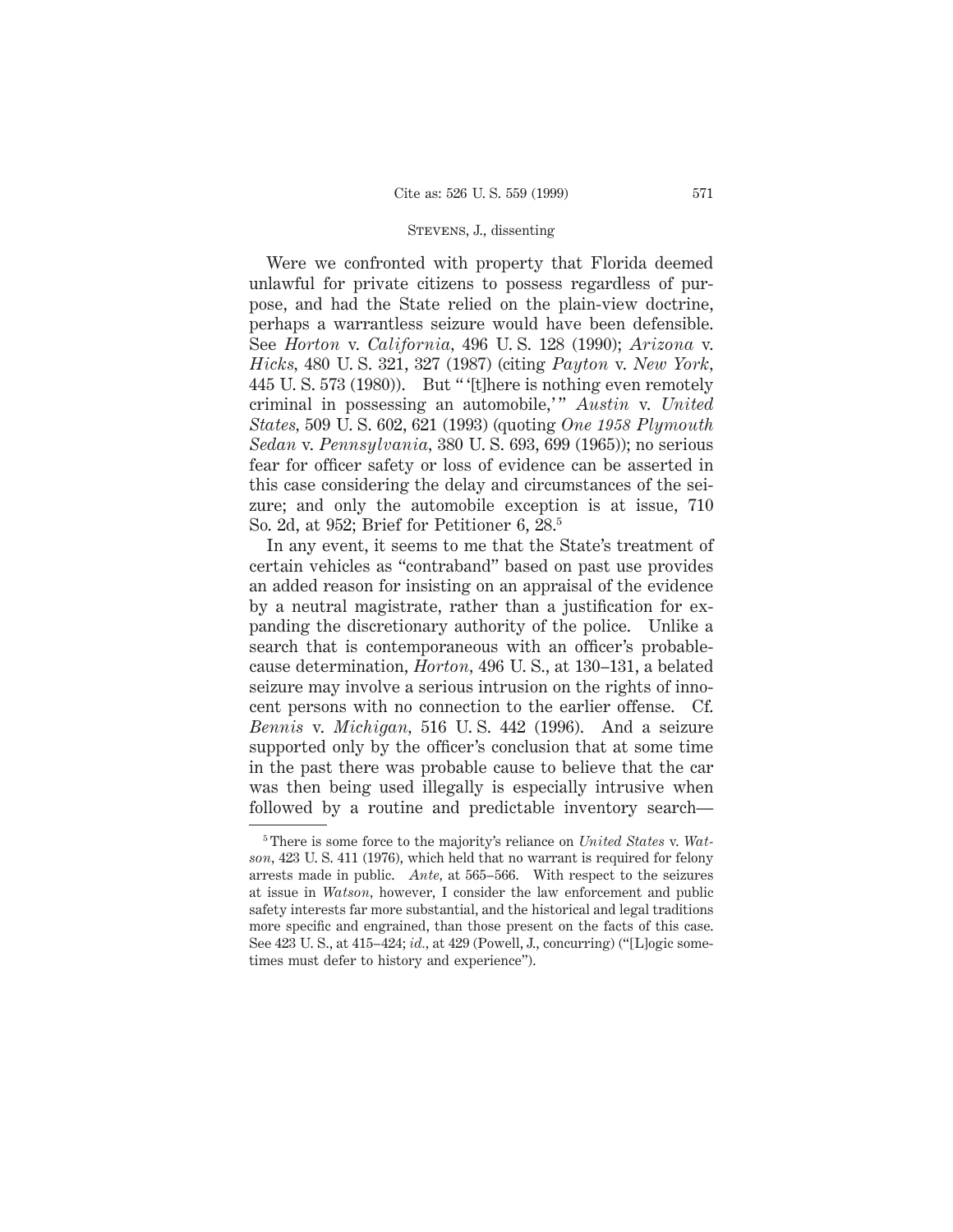Were we confronted with property that Florida deemed unlawful for private citizens to possess regardless of purpose, and had the State relied on the plain-view doctrine, perhaps a warrantless seizure would have been defensible. See *Horton* v. *California,* 496 U. S. 128 (1990); *Arizona* v. *Hicks,* 480 U. S. 321, 327 (1987) (citing *Payton* v. *New York,* 445 U. S. 573 (1980)). But " '[t]here is nothing even remotely criminal in possessing an automobile," Austin v. United *States,* 509 U. S. 602, 621 (1993) (quoting *One 1958 Plymouth Sedan* v. *Pennsylvania,* 380 U. S. 693, 699 (1965)); no serious fear for officer safety or loss of evidence can be asserted in this case considering the delay and circumstances of the seizure; and only the automobile exception is at issue, 710 So. 2d, at 952; Brief for Petitioner 6, 28.5

In any event, it seems to me that the State's treatment of certain vehicles as "contraband" based on past use provides an added reason for insisting on an appraisal of the evidence by a neutral magistrate, rather than a justification for expanding the discretionary authority of the police. Unlike a search that is contemporaneous with an officer's probablecause determination, *Horton,* 496 U. S., at 130–131, a belated seizure may involve a serious intrusion on the rights of innocent persons with no connection to the earlier offense. Cf. *Bennis* v. *Michigan,* 516 U. S. 442 (1996). And a seizure supported only by the officer's conclusion that at some time in the past there was probable cause to believe that the car was then being used illegally is especially intrusive when followed by a routine and predictable inventory search—

<sup>5</sup> There is some force to the majority's reliance on *United States* v. *Watson,* 423 U. S. 411 (1976), which held that no warrant is required for felony arrests made in public. *Ante,* at 565–566. With respect to the seizures at issue in *Watson,* however, I consider the law enforcement and public safety interests far more substantial, and the historical and legal traditions more specific and engrained, than those present on the facts of this case. See 423 U. S., at 415–424; *id.,* at 429 (Powell, J., concurring) ("[L]ogic sometimes must defer to history and experience").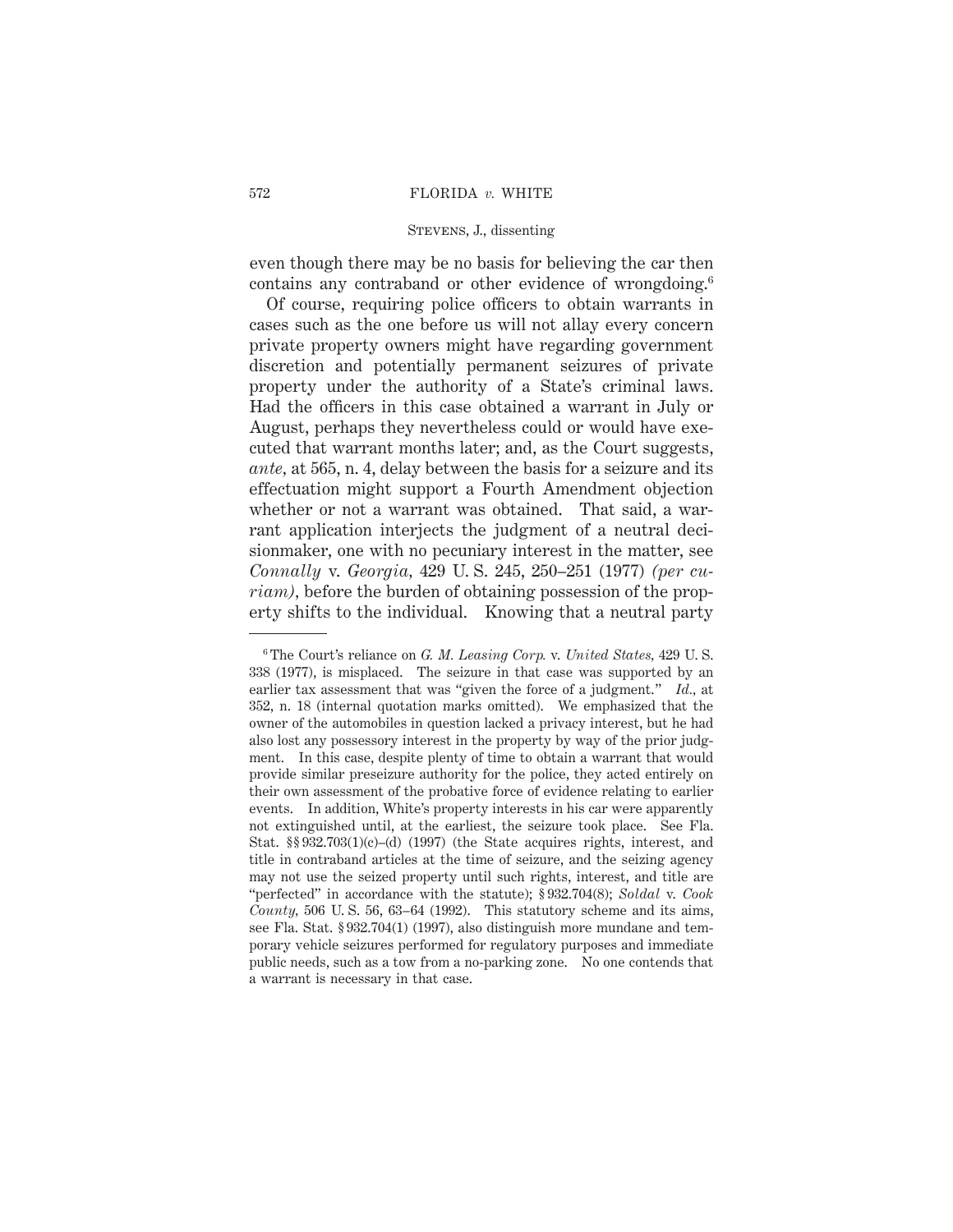# STEVENS, J., dissenting

even though there may be no basis for believing the car then contains any contraband or other evidence of wrongdoing.<sup>6</sup>

Of course, requiring police officers to obtain warrants in cases such as the one before us will not allay every concern private property owners might have regarding government discretion and potentially permanent seizures of private property under the authority of a State's criminal laws. Had the officers in this case obtained a warrant in July or August, perhaps they nevertheless could or would have executed that warrant months later; and, as the Court suggests, *ante,* at 565, n. 4, delay between the basis for a seizure and its effectuation might support a Fourth Amendment objection whether or not a warrant was obtained. That said, a warrant application interjects the judgment of a neutral decisionmaker, one with no pecuniary interest in the matter, see *Connally* v. *Georgia,* 429 U. S. 245, 250–251 (1977) *(per curiam*), before the burden of obtaining possession of the property shifts to the individual. Knowing that a neutral party

<sup>6</sup> The Court's reliance on *G. M. Leasing Corp.* v. *United States,* 429 U. S. 338 (1977), is misplaced. The seizure in that case was supported by an earlier tax assessment that was "given the force of a judgment." *Id.,* at 352, n. 18 (internal quotation marks omitted). We emphasized that the owner of the automobiles in question lacked a privacy interest, but he had also lost any possessory interest in the property by way of the prior judgment. In this case, despite plenty of time to obtain a warrant that would provide similar preseizure authority for the police, they acted entirely on their own assessment of the probative force of evidence relating to earlier events. In addition, White's property interests in his car were apparently not extinguished until, at the earliest, the seizure took place. See Fla. Stat.  $\S$ § 932.703(1)(c)–(d) (1997) (the State acquires rights, interest, and title in contraband articles at the time of seizure, and the seizing agency may not use the seized property until such rights, interest, and title are "perfected" in accordance with the statute); § 932.704(8); *Soldal* v. *Cook County*, 506 U.S. 56, 63–64 (1992). This statutory scheme and its aims, see Fla. Stat. § 932.704(1) (1997), also distinguish more mundane and temporary vehicle seizures performed for regulatory purposes and immediate public needs, such as a tow from a no-parking zone. No one contends that a warrant is necessary in that case.